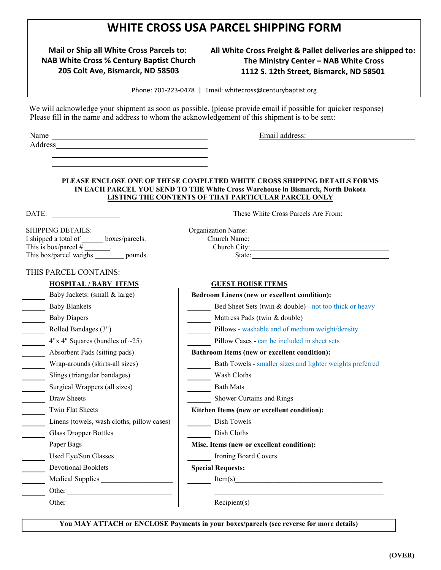## **WHITE CROSS USA PARCEL SHIPPING FORM**

**Mail or Ship all White Cross Parcels to: NAB White Cross % Century Baptist Church** 205 Colt Ave, Bismarck, ND 58503

## **All White Cross Freight & Pallet deliveries are shipped to:** The Ministry Center - NAB White Cross 1112 S. 12th Street, Bismarck, ND 58501

Phone: 701-223-0478 | Email: whitecross@centurybaptist.org

We will acknowledge your shipment as soon as possible. (please provide email if possible for quicker response) Please fill in the name and address to whom the acknowledgement of this shipment is to be sent:

Name Email address: Address

## **PLEASE ENCLOSE ONE OF THESE COMPLETED WHITE CROSS SHIPPING DETAILS FORMS IN EACH PARCEL YOU SEND TO THE White Cross Warehouse in Bismarck, North Dakota LISTING THE CONTENTS OF THAT PARTICULAR PARCEL ONLY**

DATE:  $\qquad \qquad$  These White Cross Parcels Are From:

This is box/parcel # \_\_\_\_\_\_\_. Church City:

Organization Name: 2008

 $\frac{1}{\text{Church Name:}}$ 

| SHIPPING DETAILS:                      | Organization Name: |
|----------------------------------------|--------------------|
| I shipped a total of<br>boxes/parcels. | Church Name:       |
| This is box/parcel $#$                 | Church City:       |
| This box/parcel weighs<br>pounds.      | State:             |

## THIS PARCEL CONTAINS:

| THIS FAINCEL COIVEAINS.                    |                                                           |  |
|--------------------------------------------|-----------------------------------------------------------|--|
| <b>HOSPITAL / BABY ITEMS</b>               | <b>GUEST HOUSE ITEMS</b>                                  |  |
| Baby Jackets: (small & large)              | <b>Bedroom Linens (new or excellent condition):</b>       |  |
| <b>Baby Blankets</b>                       | Bed Sheet Sets (twin & double) - not too thick or heavy   |  |
| <b>Baby Diapers</b>                        | Mattress Pads (twin & double)                             |  |
| Rolled Bandages (3")                       | Pillows - washable and of medium weight/density           |  |
| $4"x 4"$ Squares (bundles of $\sim$ 25)    | Pillow Cases - can be included in sheet sets              |  |
| Absorbent Pads (sitting pads)              | <b>Bathroom Items (new or excellent condition):</b>       |  |
| Wrap-arounds (skirts-all sizes)            | Bath Towels - smaller sizes and lighter weights preferred |  |
| Slings (triangular bandages)               | Wash Cloths                                               |  |
| Surgical Wrappers (all sizes)              | <b>Bath Mats</b>                                          |  |
| Draw Sheets                                | Shower Curtains and Rings                                 |  |
| Twin Flat Sheets                           | Kitchen Items (new or excellent condition):               |  |
| Linens (towels, wash cloths, pillow cases) | Dish Towels                                               |  |
| <b>Glass Dropper Bottles</b>               | Dish Cloths                                               |  |
| Paper Bags                                 | Misc. Items (new or excellent condition):                 |  |
| Used Eye/Sun Glasses                       | Ironing Board Covers                                      |  |
| <b>Devotional Booklets</b>                 | <b>Special Requests:</b>                                  |  |
| <b>Medical Supplies</b>                    | Item(s)                                                   |  |
| Other                                      |                                                           |  |
| Other                                      | Recipient(s)                                              |  |
|                                            |                                                           |  |

**You MAY ATTACH or ENCLOSE Payments in your boxes/parcels (see reverse for more details)**